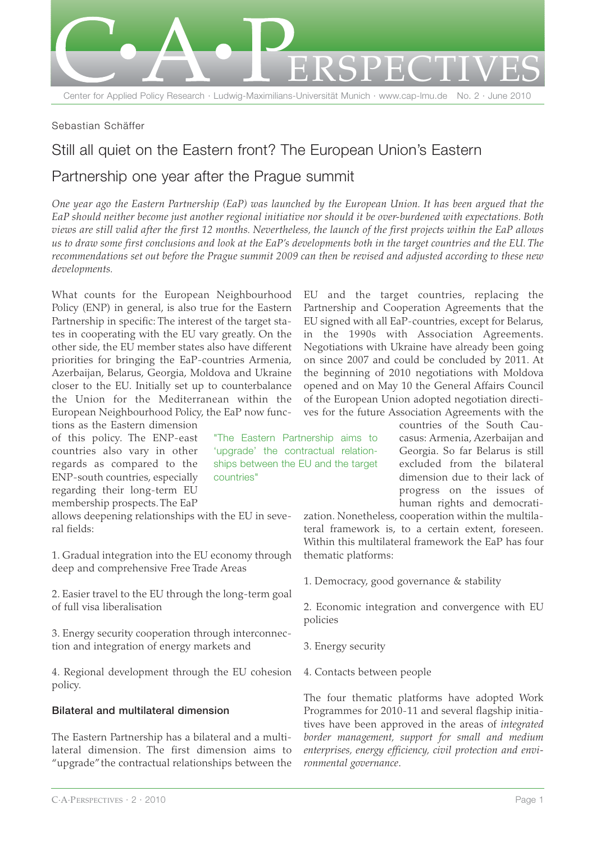

### Sebastian Schäffer

# Still all quiet on the Eastern front? The European Union's Eastern Partnership one year after the Prague summit

*One year ago the Eastern Partnership (EaP) was launched by the European Union. It has been argued that the EaP should neither become just another regional initiative nor should it be over-burdened with expectations. Both views are still valid after the first 12 months. Nevertheless, the launch of the first projects within the EaP allows us to draw some first conclusions and look at the EaP's developments both in the target countries and the EU. The recommendations set out before the Prague summit 2009 can then be revised and adjusted according to these new developments.*

> "The Eastern Partnership aims to 'upgrade' the contractual relationships between the EU and the target

countries"

What counts for the European Neighbourhood Policy (ENP) in general, is also true for the Eastern Partnership in specific: The interest of the target states in cooperating with the EU vary greatly. On the other side, the EU member states also have different priorities for bringing the EaP-countries Armenia, Azerbaijan, Belarus, Georgia, Moldova and Ukraine closer to the EU. Initially set up to counterbalance the Union for the Mediterranean within the European Neighbourhood Policy, the EaP now func-

tions as the Eastern dimension of this policy. The ENP-east countries also vary in other regards as compared to the ENP-south countries, especially regarding their long-term EU membership prospects. The EaP

allows deepening relationships with the EU in several fields:

1. Gradual integration into the EU economy through deep and comprehensive Free Trade Areas

2. Easier travel to the EU through the long-term goal of full visa liberalisation

3. Energy security cooperation through interconnection and integration of energy markets and

4. Regional development through the EU cohesion policy.

#### **Bilateral and multilateral dimension**

The Eastern Partnership has a bilateral and a multilateral dimension. The first dimension aims to "upgrade"the contractual relationships between the EU and the target countries, replacing the Partnership and Cooperation Agreements that the EU signed with all EaP-countries, except for Belarus, in the 1990s with Association Agreements. Negotiations with Ukraine have already been going on since 2007 and could be concluded by 2011. At the beginning of 2010 negotiations with Moldova opened and on May 10 the General Affairs Council of the European Union adopted negotiation directives for the future Association Agreements with the

> countries of the South Caucasus: Armenia, Azerbaijan and Georgia. So far Belarus is still excluded from the bilateral dimension due to their lack of progress on the issues of human rights and democrati-

zation. Nonetheless, cooperation within the multilateral framework is, to a certain extent, foreseen. Within this multilateral framework the EaP has four thematic platforms:

1. Democracy, good governance & stability

2. Economic integration and convergence with EU policies

- 3. Energy security
- 4. Contacts between people

The four thematic platforms have adopted Work Programmes for 2010-11 and several flagship initiatives have been approved in the areas of *integrated border management, support for small and medium enterprises, energy efficiency, civil protection and environmental governance*.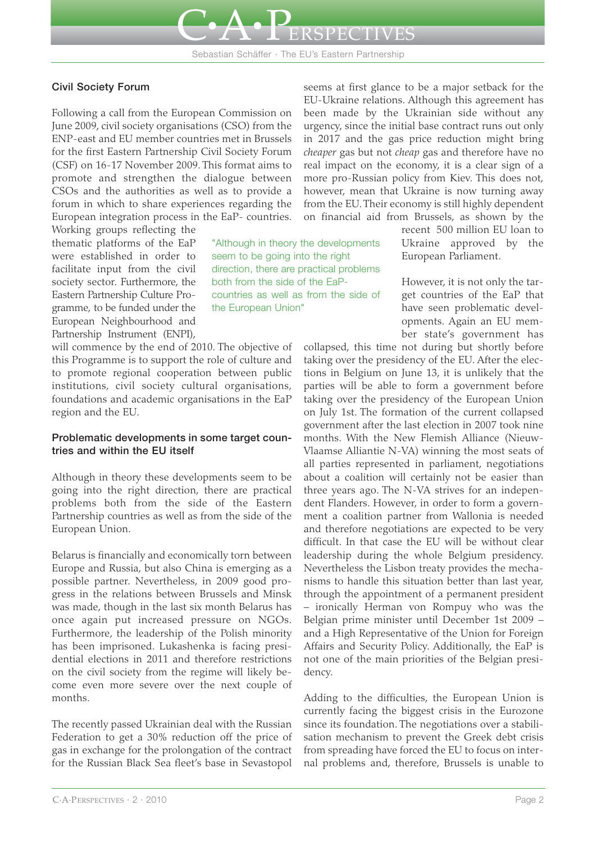

Sebastian Schäffer · The EU's Eastern Partnership

#### **Civil Society Forum**

Following a call from the European Commission on June 2009, civil society organisations (CSO) from the ENP-east and EU member countries met in Brussels for the first Eastern Partnership Civil Society Forum (CSF) on 16-17 November 2009. This format aims to promote and strengthen the dialogue between CSOs and the authorities as well as to provide a forum in which to share experiences regarding the European integration process in the EaP- countries.

Working groups reflecting the thematic platforms of the EaP were established in order to facilitate input from the civil society sector. Furthermore, the Eastern Partnership Culture Programme, to be funded under the European Neighbourhood and Partnership Instrument (ENPI),

"Although in theory the developments seem to be going into the right direction, there are practical problems both from the side of the EaPcountries as well as from the side of the European Union"

will commence by the end of 2010. The objective of this Programme is to support the role of culture and to promote regional cooperation between public institutions, civil society cultural organisations, foundations and academic organisations in the EaP region and the EU.

#### **Problematic developments in some target countries and within the EU itself**

Although in theory these developments seem to be going into the right direction, there are practical problems both from the side of the Eastern Partnership countries as well as from the side of the European Union.

Belarus is financially and economically torn between Europe and Russia, but also China is emerging as a possible partner. Nevertheless, in 2009 good progress in the relations between Brussels and Minsk was made, though in the last six month Belarus has once again put increased pressure on NGOs. Furthermore, the leadership of the Polish minority has been imprisoned. Lukashenka is facing presidential elections in 2011 and therefore restrictions on the civil society from the regime will likely become even more severe over the next couple of months.

The recently passed Ukrainian deal with the Russian Federation to get a 30% reduction off the price of gas in exchange for the prolongation of the contract for the Russian Black Sea fleet's base in Sevastopol

seems at first glance to be a major setback for the EU-Ukraine relations. Although this agreement has been made by the Ukrainian side without any urgency, since the initial base contract runs out only in 2017 and the gas price reduction might bring *cheaper* gas but not *cheap* gas and therefore have no real impact on the economy, it is a clear sign of a more pro-Russian policy from Kiev. This does not, however, mean that Ukraine is now turning away from the EU. Their economy is still highly dependent on financial aid from Brussels, as shown by the

> recent 500 million EU loan to Ukraine approved by the European Parliament.

However, it is not only the target countries of the EaP that have seen problematic developments. Again an EU member state's government has

collapsed, this time not during but shortly before taking over the presidency of the EU. After the elections in Belgium on June 13, it is unlikely that the parties will be able to form a government before taking over the presidency of the European Union on July 1st. The formation of the current collapsed government after the last election in 2007 took nine months. With the New Flemish Alliance (Nieuw-Vlaamse Alliantie N-VA) winning the most seats of all parties represented in parliament, negotiations about a coalition will certainly not be easier than three years ago. The N-VA strives for an independent Flanders. However, in order to form a government a coalition partner from Wallonia is needed and therefore negotiations are expected to be very difficult. In that case the EU will be without clear leadership during the whole Belgium presidency. Nevertheless the Lisbon treaty provides the mechanisms to handle this situation better than last year, through the appointment of a permanent president – ironically Herman von Rompuy who was the Belgian prime minister until December 1st 2009 – and a High Representative of the Union for Foreign Affairs and Security Policy. Additionally, the EaP is not one of the main priorities of the Belgian presidency.

Adding to the difficulties, the European Union is currently facing the biggest crisis in the Eurozone since its foundation. The negotiations over a stabilisation mechanism to prevent the Greek debt crisis from spreading have forced the EU to focus on internal problems and, therefore, Brussels is unable to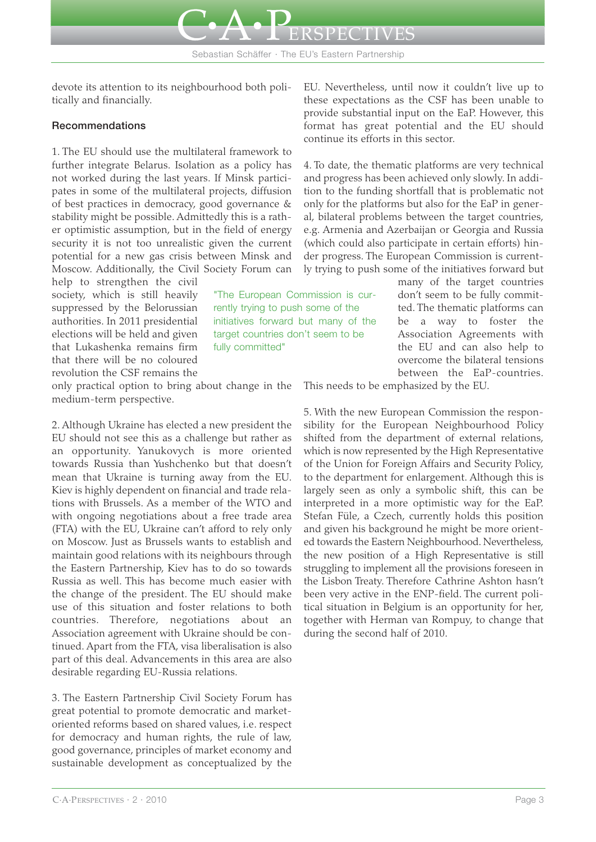

devote its attention to its neighbourhood both politically and financially.

## **Recommendations**

1. The EU should use the multilateral framework to further integrate Belarus. Isolation as a policy has not worked during the last years. If Minsk participates in some of the multilateral projects, diffusion of best practices in democracy, good governance & stability might be possible. Admittedly this is a rather optimistic assumption, but in the field of energy security it is not too unrealistic given the current potential for a new gas crisis between Minsk and Moscow. Additionally, the Civil Society Forum can

help to strengthen the civil society, which is still heavily suppressed by the Belorussian authorities. In 2011 presidential elections will be held and given that Lukashenka remains firm that there will be no coloured revolution the CSF remains the

only practical option to bring about change in the medium-term perspective.

2. Although Ukraine has elected a new president the EU should not see this as a challenge but rather as an opportunity. Yanukovych is more oriented towards Russia than Yushchenko but that doesn't mean that Ukraine is turning away from the EU. Kiev is highly dependent on financial and trade relations with Brussels. As a member of the WTO and with ongoing negotiations about a free trade area (FTA) with the EU, Ukraine can't afford to rely only on Moscow. Just as Brussels wants to establish and maintain good relations with its neighbours through the Eastern Partnership, Kiev has to do so towards Russia as well. This has become much easier with the change of the president. The EU should make use of this situation and foster relations to both countries. Therefore, negotiations about an Association agreement with Ukraine should be continued. Apart from the FTA, visa liberalisation is also part of this deal. Advancements in this area are also desirable regarding EU-Russia relations.

3. The Eastern Partnership Civil Society Forum has great potential to promote democratic and marketoriented reforms based on shared values, i.e. respect for democracy and human rights, the rule of law, good governance, principles of market economy and sustainable development as conceptualized by the

EU. Nevertheless, until now it couldn't live up to these expectations as the CSF has been unable to provide substantial input on the EaP. However, this format has great potential and the EU should continue its efforts in this sector.

**ISPECTIVES** 

4. To date, the thematic platforms are very technical and progress has been achieved only slowly. In addition to the funding shortfall that is problematic not only for the platforms but also for the EaP in general, bilateral problems between the target countries, e.g. Armenia and Azerbaijan or Georgia and Russia (which could also participate in certain efforts) hinder progress. The European Commission is currently trying to push some of the initiatives forward but

> many of the target countries don't seem to be fully committed. The thematic platforms can be a way to foster the Association Agreements with the EU and can also help to overcome the bilateral tensions between the EaP-countries.

"The European Commission is currently trying to push some of the initiatives forward but many of the target countries don't seem to be fully committed"

This needs to be emphasized by the EU.

5. With the new European Commission the responsibility for the European Neighbourhood Policy shifted from the department of external relations, which is now represented by the High Representative of the Union for Foreign Affairs and Security Policy, to the department for enlargement. Although this is largely seen as only a symbolic shift, this can be interpreted in a more optimistic way for the EaP. Stefan Füle, a Czech, currently holds this position and given his background he might be more oriented towards the Eastern Neighbourhood. Nevertheless, the new position of a High Representative is still struggling to implement all the provisions foreseen in the Lisbon Treaty. Therefore Cathrine Ashton hasn't been very active in the ENP-field. The current political situation in Belgium is an opportunity for her, together with Herman van Rompuy, to change that during the second half of 2010.